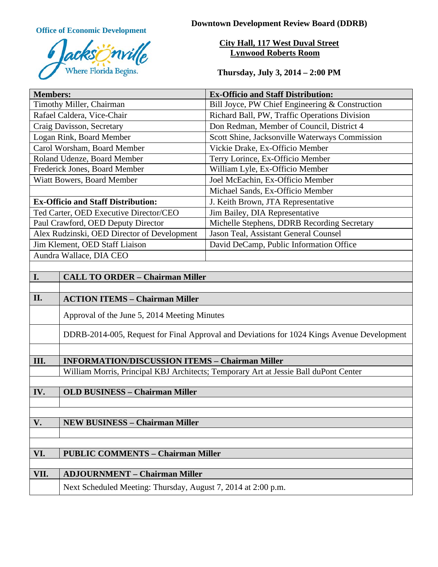

**Office of Economic Development Downtown Development Review Board (DDRB)** 

**City Hall, 117 West Duval Street Lynwood Roberts Room**

**Thursday, July 3, 2014 – 2:00 PM**

| <b>Members:</b>                                                                                                                                                                                                                                                                                                 |                                                                                            | <b>Ex-Officio and Staff Distribution:</b>       |
|-----------------------------------------------------------------------------------------------------------------------------------------------------------------------------------------------------------------------------------------------------------------------------------------------------------------|--------------------------------------------------------------------------------------------|-------------------------------------------------|
| Timothy Miller, Chairman                                                                                                                                                                                                                                                                                        |                                                                                            | Bill Joyce, PW Chief Engineering & Construction |
| Rafael Caldera, Vice-Chair                                                                                                                                                                                                                                                                                      |                                                                                            | Richard Ball, PW, Traffic Operations Division   |
| Craig Davisson, Secretary                                                                                                                                                                                                                                                                                       |                                                                                            | Don Redman, Member of Council, District 4       |
| Logan Rink, Board Member                                                                                                                                                                                                                                                                                        |                                                                                            | Scott Shine, Jacksonville Waterways Commission  |
| Carol Worsham, Board Member                                                                                                                                                                                                                                                                                     |                                                                                            | Vickie Drake, Ex-Officio Member                 |
| Roland Udenze, Board Member                                                                                                                                                                                                                                                                                     |                                                                                            | Terry Lorince, Ex-Officio Member                |
| Frederick Jones, Board Member                                                                                                                                                                                                                                                                                   |                                                                                            | William Lyle, Ex-Officio Member                 |
| Wiatt Bowers, Board Member                                                                                                                                                                                                                                                                                      |                                                                                            | Joel McEachin, Ex-Officio Member                |
|                                                                                                                                                                                                                                                                                                                 |                                                                                            | Michael Sands, Ex-Officio Member                |
| <b>Ex-Officio and Staff Distribution:</b>                                                                                                                                                                                                                                                                       |                                                                                            | J. Keith Brown, JTA Representative              |
| Ted Carter, OED Executive Director/CEO                                                                                                                                                                                                                                                                          |                                                                                            | Jim Bailey, DIA Representative                  |
| Paul Crawford, OED Deputy Director                                                                                                                                                                                                                                                                              |                                                                                            | Michelle Stephens, DDRB Recording Secretary     |
| Alex Rudzinski, OED Director of Development                                                                                                                                                                                                                                                                     |                                                                                            | Jason Teal, Assistant General Counsel           |
| Jim Klement, OED Staff Liaison                                                                                                                                                                                                                                                                                  |                                                                                            | David DeCamp, Public Information Office         |
| Aundra Wallace, DIA CEO                                                                                                                                                                                                                                                                                         |                                                                                            |                                                 |
|                                                                                                                                                                                                                                                                                                                 |                                                                                            |                                                 |
| I.                                                                                                                                                                                                                                                                                                              | <b>CALL TO ORDER - Chairman Miller</b>                                                     |                                                 |
|                                                                                                                                                                                                                                                                                                                 |                                                                                            |                                                 |
|                                                                                                                                                                                                                                                                                                                 |                                                                                            |                                                 |
|                                                                                                                                                                                                                                                                                                                 | Approval of the June 5, 2014 Meeting Minutes                                               |                                                 |
|                                                                                                                                                                                                                                                                                                                 | DDRB-2014-005, Request for Final Approval and Deviations for 1024 Kings Avenue Development |                                                 |
|                                                                                                                                                                                                                                                                                                                 |                                                                                            |                                                 |
| III.                                                                                                                                                                                                                                                                                                            | <b>INFORMATION/DISCUSSION ITEMS - Chairman Miller</b>                                      |                                                 |
|                                                                                                                                                                                                                                                                                                                 | William Morris, Principal KBJ Architects; Temporary Art at Jessie Ball duPont Center       |                                                 |
|                                                                                                                                                                                                                                                                                                                 |                                                                                            |                                                 |
|                                                                                                                                                                                                                                                                                                                 |                                                                                            |                                                 |
|                                                                                                                                                                                                                                                                                                                 |                                                                                            |                                                 |
|                                                                                                                                                                                                                                                                                                                 |                                                                                            |                                                 |
|                                                                                                                                                                                                                                                                                                                 |                                                                                            |                                                 |
|                                                                                                                                                                                                                                                                                                                 |                                                                                            |                                                 |
|                                                                                                                                                                                                                                                                                                                 |                                                                                            |                                                 |
|                                                                                                                                                                                                                                                                                                                 |                                                                                            |                                                 |
|                                                                                                                                                                                                                                                                                                                 |                                                                                            |                                                 |
|                                                                                                                                                                                                                                                                                                                 |                                                                                            |                                                 |
| II.<br><b>ACTION ITEMS - Chairman Miller</b><br><b>OLD BUSINESS - Chairman Miller</b><br>IV.<br>V.<br><b>NEW BUSINESS - Chairman Miller</b><br><b>PUBLIC COMMENTS - Chairman Miller</b><br>VI.<br><b>ADJOURNMENT - Chairman Miller</b><br>VII.<br>Next Scheduled Meeting: Thursday, August 7, 2014 at 2:00 p.m. |                                                                                            |                                                 |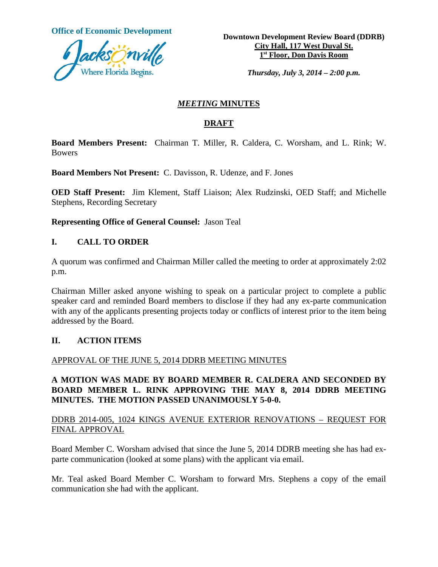

**Office of Economic Development**<br> **Downtown Development Review Board (DDRB) City Hall, 117 West Duval St. 1st Floor, Don Davis Room**

*Thursday, July 3, 2014 – 2:00 p.m.*

### *MEETING* **MINUTES**

## **DRAFT**

**Board Members Present:** Chairman T. Miller, R. Caldera, C. Worsham, and L. Rink; W. Bowers

**Board Members Not Present:** C. Davisson, R. Udenze, and F. Jones

**OED Staff Present:** Jim Klement, Staff Liaison; Alex Rudzinski, OED Staff; and Michelle Stephens, Recording Secretary

**Representing Office of General Counsel:** Jason Teal

### **I. CALL TO ORDER**

A quorum was confirmed and Chairman Miller called the meeting to order at approximately 2:02 p.m.

Chairman Miller asked anyone wishing to speak on a particular project to complete a public speaker card and reminded Board members to disclose if they had any ex-parte communication with any of the applicants presenting projects today or conflicts of interest prior to the item being addressed by the Board.

#### **II. ACTION ITEMS**

#### APPROVAL OF THE JUNE 5, 2014 DDRB MEETING MINUTES

### **A MOTION WAS MADE BY BOARD MEMBER R. CALDERA AND SECONDED BY BOARD MEMBER L. RINK APPROVING THE MAY 8, 2014 DDRB MEETING MINUTES. THE MOTION PASSED UNANIMOUSLY 5-0-0.**

### DDRB 2014-005, 1024 KINGS AVENUE EXTERIOR RENOVATIONS – REQUEST FOR FINAL APPROVAL

Board Member C. Worsham advised that since the June 5, 2014 DDRB meeting she has had exparte communication (looked at some plans) with the applicant via email.

Mr. Teal asked Board Member C. Worsham to forward Mrs. Stephens a copy of the email communication she had with the applicant.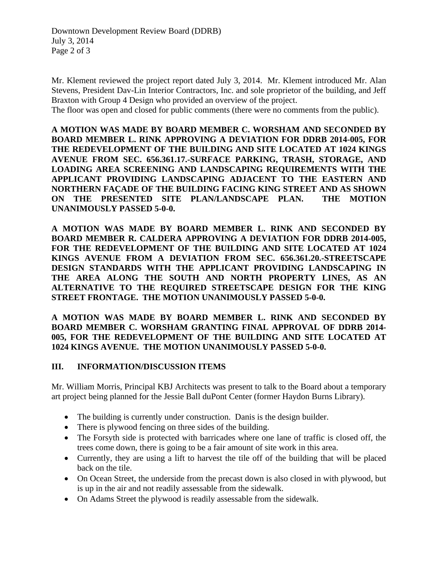Mr. Klement reviewed the project report dated July 3, 2014. Mr. Klement introduced Mr. Alan Stevens, President Dav-Lin Interior Contractors, Inc. and sole proprietor of the building, and Jeff Braxton with Group 4 Design who provided an overview of the project.

The floor was open and closed for public comments (there were no comments from the public).

**A MOTION WAS MADE BY BOARD MEMBER C. WORSHAM AND SECONDED BY BOARD MEMBER L. RINK APPROVING A DEVIATION FOR DDRB 2014-005, FOR THE REDEVELOPMENT OF THE BUILDING AND SITE LOCATED AT 1024 KINGS AVENUE FROM SEC. 656.361.17.-SURFACE PARKING, TRASH, STORAGE, AND LOADING AREA SCREENING AND LANDSCAPING REQUIREMENTS WITH THE APPLICANT PROVIDING LANDSCAPING ADJACENT TO THE EASTERN AND NORTHERN FAÇADE OF THE BUILDING FACING KING STREET AND AS SHOWN ON THE PRESENTED SITE PLAN/LANDSCAPE PLAN. THE MOTION UNANIMOUSLY PASSED 5-0-0.**

**A MOTION WAS MADE BY BOARD MEMBER L. RINK AND SECONDED BY BOARD MEMBER R. CALDERA APPROVING A DEVIATION FOR DDRB 2014-005, FOR THE REDEVELOPMENT OF THE BUILDING AND SITE LOCATED AT 1024 KINGS AVENUE FROM A DEVIATION FROM SEC. 656.361.20.-STREETSCAPE DESIGN STANDARDS WITH THE APPLICANT PROVIDING LANDSCAPING IN THE AREA ALONG THE SOUTH AND NORTH PROPERTY LINES, AS AN ALTERNATIVE TO THE REQUIRED STREETSCAPE DESIGN FOR THE KING STREET FRONTAGE. THE MOTION UNANIMOUSLY PASSED 5-0-0.**

**A MOTION WAS MADE BY BOARD MEMBER L. RINK AND SECONDED BY BOARD MEMBER C. WORSHAM GRANTING FINAL APPROVAL OF DDRB 2014- 005, FOR THE REDEVELOPMENT OF THE BUILDING AND SITE LOCATED AT 1024 KINGS AVENUE. THE MOTION UNANIMOUSLY PASSED 5-0-0.**

#### **III. INFORMATION/DISCUSSION ITEMS**

Mr. William Morris, Principal KBJ Architects was present to talk to the Board about a temporary art project being planned for the Jessie Ball duPont Center (former Haydon Burns Library).

- The building is currently under construction. Danis is the design builder.
- There is plywood fencing on three sides of the building.
- The Forsyth side is protected with barricades where one lane of traffic is closed off, the trees come down, there is going to be a fair amount of site work in this area.
- Currently, they are using a lift to harvest the tile off of the building that will be placed back on the tile.
- On Ocean Street, the underside from the precast down is also closed in with plywood, but is up in the air and not readily assessable from the sidewalk.
- On Adams Street the plywood is readily assessable from the sidewalk.